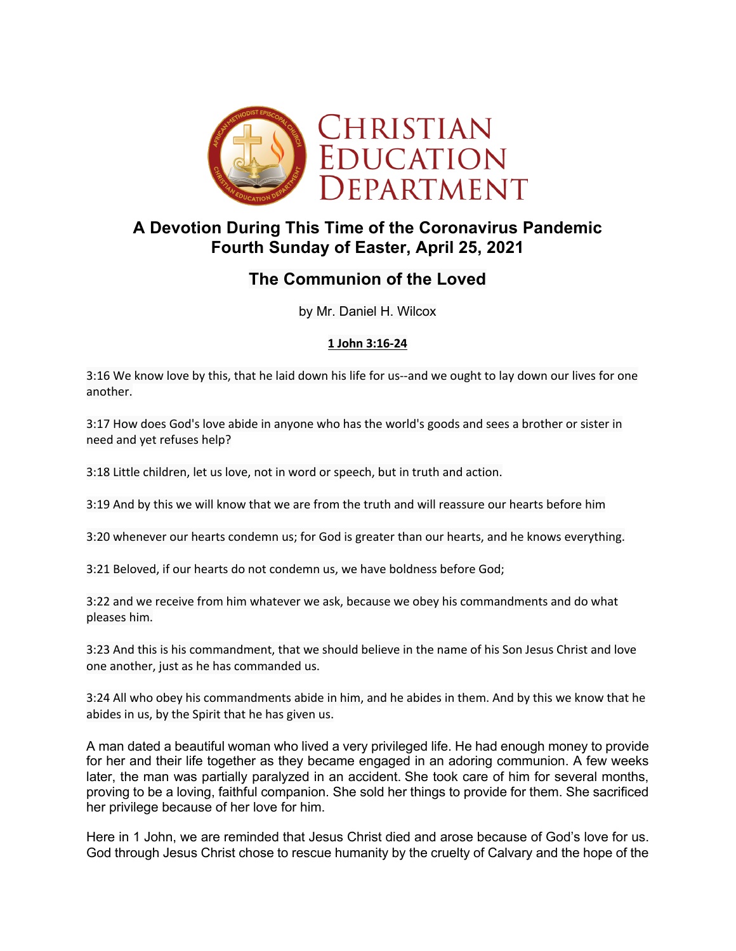

## **A Devotion During This Time of the Coronavirus Pandemic Fourth Sunday of Easter, April 25, 2021**

# **The Communion of the Loved**

by Mr. Daniel H. Wilcox

## **1 John 3:16-24**

3:16 We know love by this, that he laid down his life for us--and we ought to lay down our lives for one another.

3:17 How does God's love abide in anyone who has the world's goods and sees a brother or sister in need and yet refuses help?

3:18 Little children, let us love, not in word or speech, but in truth and action.

3:19 And by this we will know that we are from the truth and will reassure our hearts before him

3:20 whenever our hearts condemn us; for God is greater than our hearts, and he knows everything.

3:21 Beloved, if our hearts do not condemn us, we have boldness before God;

3:22 and we receive from him whatever we ask, because we obey his commandments and do what pleases him.

3:23 And this is his commandment, that we should believe in the name of his Son Jesus Christ and love one another, just as he has commanded us.

3:24 All who obey his commandments abide in him, and he abides in them. And by this we know that he abides in us, by the Spirit that he has given us.

A man dated a beautiful woman who lived a very privileged life. He had enough money to provide for her and their life together as they became engaged in an adoring communion. A few weeks later, the man was partially paralyzed in an accident. She took care of him for several months, proving to be a loving, faithful companion. She sold her things to provide for them. She sacrificed her privilege because of her love for him.

Here in 1 John, we are reminded that Jesus Christ died and arose because of God's love for us. God through Jesus Christ chose to rescue humanity by the cruelty of Calvary and the hope of the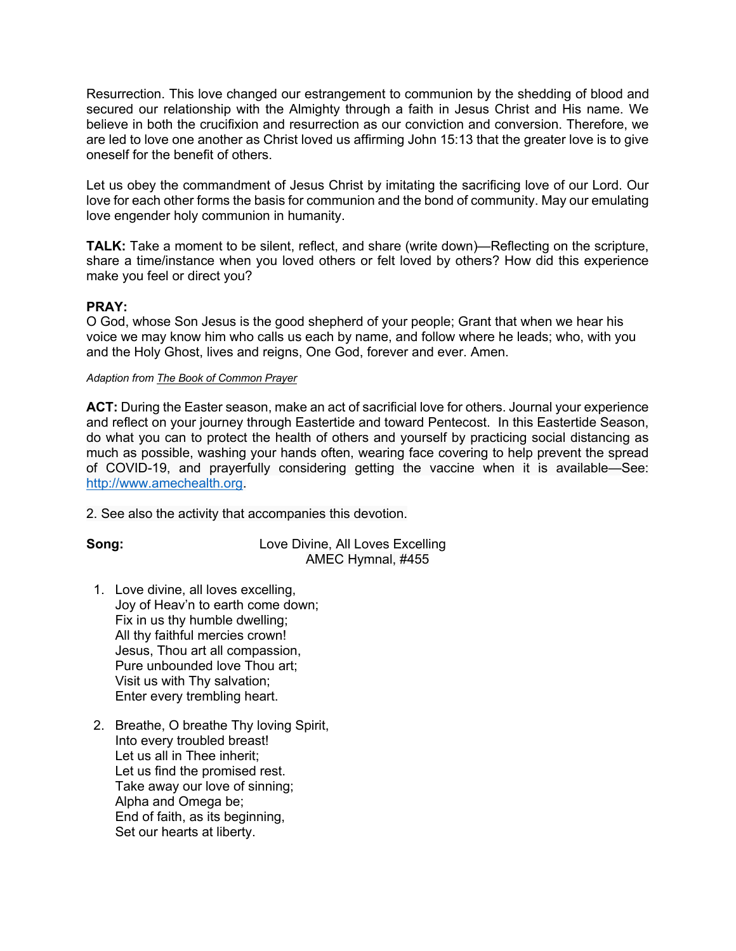Resurrection. This love changed our estrangement to communion by the shedding of blood and secured our relationship with the Almighty through a faith in Jesus Christ and His name. We believe in both the crucifixion and resurrection as our conviction and conversion. Therefore, we are led to love one another as Christ loved us affirming John 15:13 that the greater love is to give oneself for the benefit of others.

Let us obey the commandment of Jesus Christ by imitating the sacrificing love of our Lord. Our love for each other forms the basis for communion and the bond of community. May our emulating love engender holy communion in humanity.

**TALK:** Take a moment to be silent, reflect, and share (write down)—Reflecting on the scripture, share a time/instance when you loved others or felt loved by others? How did this experience make you feel or direct you?

### **PRAY:**

O God, whose Son Jesus is the good shepherd of your people; Grant that when we hear his voice we may know him who calls us each by name, and follow where he leads; who, with you and the Holy Ghost, lives and reigns, One God, forever and ever. Amen.

#### *Adaption from The Book of Common Prayer*

**ACT:** During the Easter season, make an act of sacrificial love for others. Journal your experience and reflect on your journey through Eastertide and toward Pentecost. In this Eastertide Season, do what you can to protect the health of others and yourself by practicing social distancing as much as possible, washing your hands often, wearing face covering to help prevent the spread of COVID-19, and prayerfully considering getting the vaccine when it is available—See: http://www.amechealth.org.

2. See also the activity that accompanies this devotion.

**Song:** Love Divine, All Loves Excelling AMEC Hymnal, #455

- 1. Love divine, all loves excelling, Joy of Heav'n to earth come down; Fix in us thy humble dwelling; All thy faithful mercies crown! Jesus, Thou art all compassion, Pure unbounded love Thou art; Visit us with Thy salvation; Enter every trembling heart.
- 2. Breathe, O breathe Thy loving Spirit, Into every troubled breast! Let us all in Thee inherit; Let us find the promised rest. Take away our love of sinning; Alpha and Omega be; End of faith, as its beginning, Set our hearts at liberty.